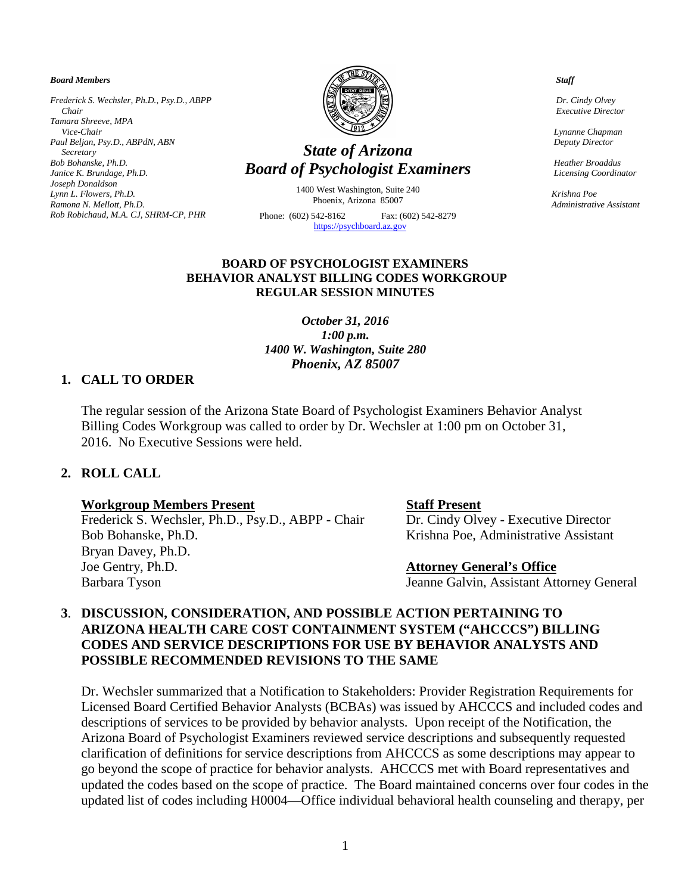#### *Board Members*

*Frederick S. Wechsler, Ph.D., Psy.D., ABPP Chair Tamara Shreeve, MPA Vice-Chair Paul Beljan, Psy.D., ABPdN, ABN Secretary Bob Bohanske, Ph.D. Janice K. Brundage, Ph.D. Joseph Donaldson Lynn L. Flowers, Ph.D. Ramona N. Mellott, Ph.D. Rob Robichaud, M.A. CJ, SHRM-CP, PHR* 



# *State of Arizona Board of Psychologist Examiners*

1400 West Washington, Suite 240 Phoenix, Arizona 85007

Phone: (602) 542-8162 Fax: (602) 542-8279  [https://psychboard.az.gov](https://psychboard.az.gov/) 

#### *Staff*

 *Dr. Cindy Olvey Executive Director*

 *Lynanne Chapman Deputy Director*

 *Heather Broaddus Licensing Coordinator*

 *Krishna Poe Administrative Assistant*

### **BOARD OF PSYCHOLOGIST EXAMINERS BEHAVIOR ANALYST BILLING CODES WORKGROUP REGULAR SESSION MINUTES**

### *October 31, 2016 1:00 p.m. 1400 W. Washington, Suite 280 Phoenix, AZ 85007*

### **1. CALL TO ORDER**

The regular session of the Arizona State Board of Psychologist Examiners Behavior Analyst Billing Codes Workgroup was called to order by Dr. Wechsler at 1:00 pm on October 31, 2016. No Executive Sessions were held.

## **2. ROLL CALL**

#### **Workgroup Members Present Staff Present**

Frederick S. Wechsler, Ph.D., Psy.D., ABPP - Chair Dr. Cindy Olvey - Executive Director Bob Bohanske, Ph.D. Krishna Poe, Administrative Assistant Bryan Davey, Ph.D. Joe Gentry, Ph.D. **Attorney General's Office** Barbara Tyson Jeanne Galvin, Assistant Attorney General

# **3**. **DISCUSSION, CONSIDERATION, AND POSSIBLE ACTION PERTAINING TO ARIZONA HEALTH CARE COST CONTAINMENT SYSTEM ("AHCCCS") BILLING CODES AND SERVICE DESCRIPTIONS FOR USE BY BEHAVIOR ANALYSTS AND POSSIBLE RECOMMENDED REVISIONS TO THE SAME**

Dr. Wechsler summarized that a Notification to Stakeholders: Provider Registration Requirements for Licensed Board Certified Behavior Analysts (BCBAs) was issued by AHCCCS and included codes and descriptions of services to be provided by behavior analysts. Upon receipt of the Notification, the Arizona Board of Psychologist Examiners reviewed service descriptions and subsequently requested clarification of definitions for service descriptions from AHCCCS as some descriptions may appear to go beyond the scope of practice for behavior analysts. AHCCCS met with Board representatives and updated the codes based on the scope of practice. The Board maintained concerns over four codes in the updated list of codes including H0004—Office individual behavioral health counseling and therapy, per